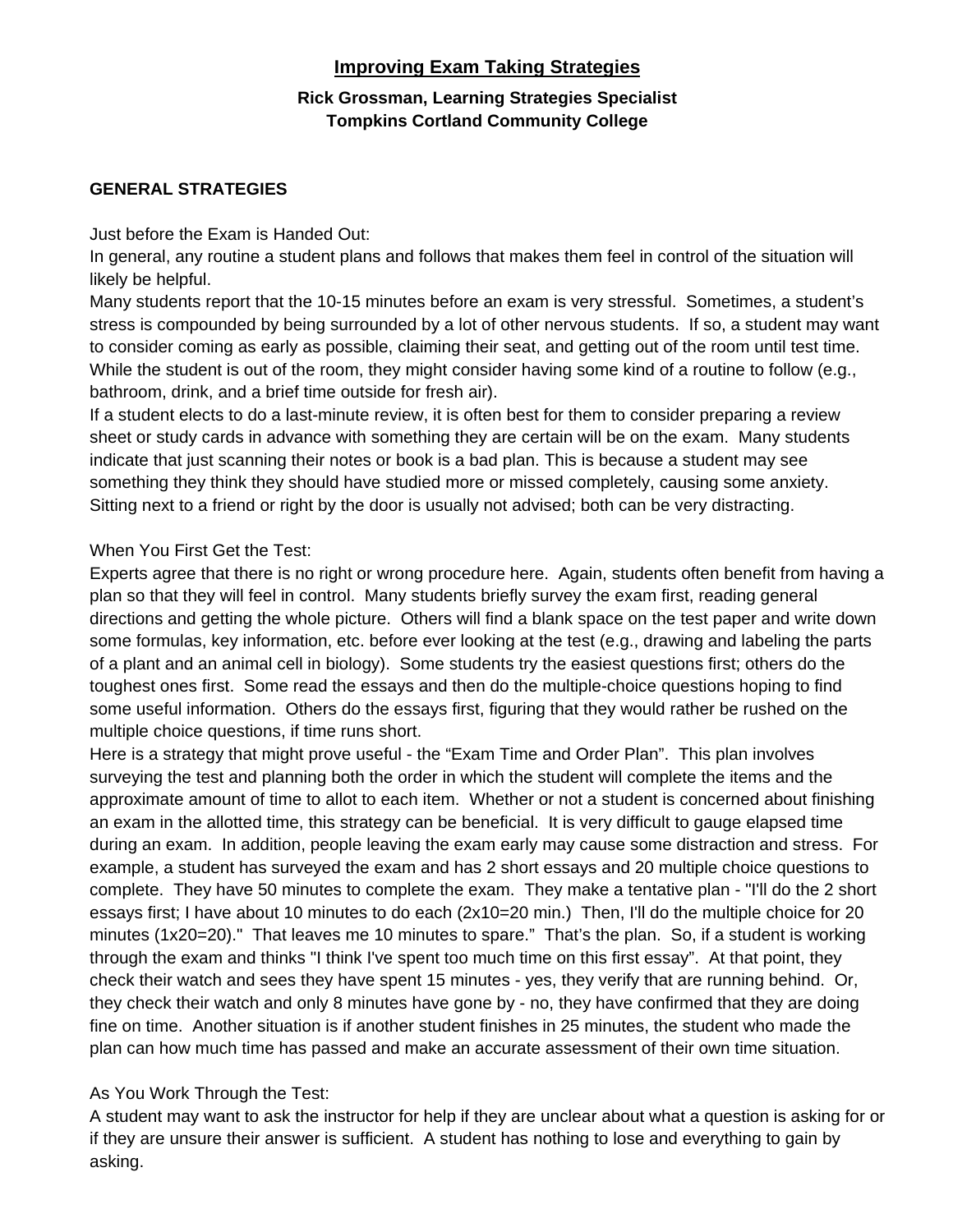## **Improving Exam Taking Strategies**

## **Rick Grossman, Learning Strategies Specialist Tompkins Cortland Community College**

### **GENERAL STRATEGIES**

#### Just before the Exam is Handed Out:

In general, any routine a student plans and follows that makes them feel in control of the situation will likely be helpful.

Many students report that the 10-15 minutes before an exam is very stressful. Sometimes, a student's stress is compounded by being surrounded by a lot of other nervous students. If so, a student may want to consider coming as early as possible, claiming their seat, and getting out of the room until test time. While the student is out of the room, they might consider having some kind of a routine to follow (e.g., bathroom, drink, and a brief time outside for fresh air).

If a student elects to do a last-minute review, it is often best for them to consider preparing a review sheet or study cards in advance with something they are certain will be on the exam. Many students indicate that just scanning their notes or book is a bad plan. This is because a student may see something they think they should have studied more or missed completely, causing some anxiety. Sitting next to a friend or right by the door is usually not advised; both can be very distracting.

### When You First Get the Test:

Experts agree that there is no right or wrong procedure here. Again, students often benefit from having a plan so that they will feel in control. Many students briefly survey the exam first, reading general directions and getting the whole picture. Others will find a blank space on the test paper and write down some formulas, key information, etc. before ever looking at the test (e.g., drawing and labeling the parts of a plant and an animal cell in biology). Some students try the easiest questions first; others do the toughest ones first. Some read the essays and then do the multiple-choice questions hoping to find some useful information. Others do the essays first, figuring that they would rather be rushed on the multiple choice questions, if time runs short.

Here is a strategy that might prove useful - the "Exam Time and Order Plan". This plan involves surveying the test and planning both the order in which the student will complete the items and the approximate amount of time to allot to each item. Whether or not a student is concerned about finishing an exam in the allotted time, this strategy can be beneficial. It is very difficult to gauge elapsed time during an exam. In addition, people leaving the exam early may cause some distraction and stress. For example, a student has surveyed the exam and has 2 short essays and 20 multiple choice questions to complete. They have 50 minutes to complete the exam. They make a tentative plan - "I'll do the 2 short essays first; I have about 10 minutes to do each (2x10=20 min.) Then, I'll do the multiple choice for 20 minutes (1x20=20)." That leaves me 10 minutes to spare." That's the plan. So, if a student is working through the exam and thinks "I think I've spent too much time on this first essay". At that point, they check their watch and sees they have spent 15 minutes - yes, they verify that are running behind. Or, they check their watch and only 8 minutes have gone by - no, they have confirmed that they are doing fine on time. Another situation is if another student finishes in 25 minutes, the student who made the plan can how much time has passed and make an accurate assessment of their own time situation.

### As You Work Through the Test:

A student may want to ask the instructor for help if they are unclear about what a question is asking for or if they are unsure their answer is sufficient. A student has nothing to lose and everything to gain by asking.